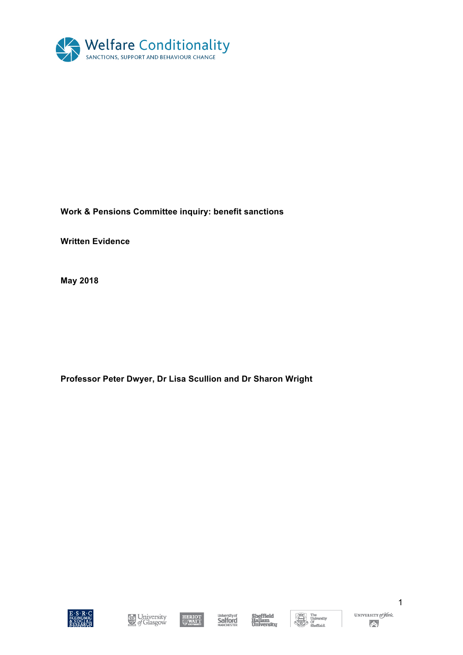

# **Work & Pensions Committee inquiry: benefit sanctions**

**Written Evidence** 

**May 2018**

**Professor Peter Dwyer, Dr Lisa Scullion and Dr Sharon Wright** 







**Sheffield<br>Hallam<br>University** 



 $\begin{tabular}{c} \hline \bf{The University} \\ \hline \bf{On} \\ \bf{On} \\ \end{tabular}$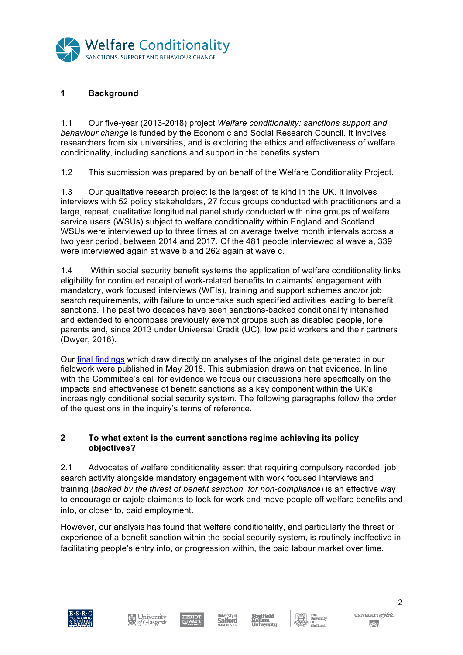

# **1 Background**

1.1 Our five-year (2013-2018) project *Welfare conditionality: sanctions support and behaviour change* is funded by the Economic and Social Research Council. It involves researchers from six universities, and is exploring the ethics and effectiveness of welfare conditionality, including sanctions and support in the benefits system.

1.2 This submission was prepared by on behalf of the Welfare Conditionality Project.

1.3 Our qualitative research project is the largest of its kind in the UK. It involves interviews with 52 policy stakeholders, 27 focus groups conducted with practitioners and a large, repeat, qualitative longitudinal panel study conducted with nine groups of welfare service users (WSUs) subject to welfare conditionality within England and Scotland. WSUs were interviewed up to three times at on average twelve month intervals across a two year period, between 2014 and 2017. Of the 481 people interviewed at wave a, 339 were interviewed again at wave b and 262 again at wave c.

1.4 Within social security benefit systems the application of welfare conditionality links eligibility for continued receipt of work-related benefits to claimants' engagement with mandatory, work focused interviews (WFIs), training and support schemes and/or job search requirements, with failure to undertake such specified activities leading to benefit sanctions. The past two decades have seen sanctions-backed conditionality intensified and extended to encompass previously exempt groups such as disabled people, lone parents and, since 2013 under Universal Credit (UC), low paid workers and their partners (Dwyer, 2016).

Our final findings which draw directly on analyses of the original data generated in our fieldwork were published in May 2018. This submission draws on that evidence. In line with the Committee's call for evidence we focus our discussions here specifically on the impacts and effectiveness of benefit sanctions as a key component within the UK's increasingly conditional social security system. The following paragraphs follow the order of the questions in the inquiry's terms of reference.

### **2 To what extent is the current sanctions regime achieving its policy objectives?**

2.1 Advocates of welfare conditionality assert that requiring compulsory recorded job search activity alongside mandatory engagement with work focused interviews and training (*backed by the threat of benefit sanction for non-compliance*) is an effective way to encourage or cajole claimants to look for work and move people off welfare benefits and into, or closer to, paid employment.

However, our analysis has found that welfare conditionality, and particularly the threat or experience of a benefit sanction within the social security system, is routinely ineffective in facilitating people's entry into, or progression within, the paid labour market over time.













UNIVERSITY of York  $\left( \left. \rule{0cm}{1.4cm}\right. \right. \left. \left. \rule{0cm}{1.4cm}\right. \right.$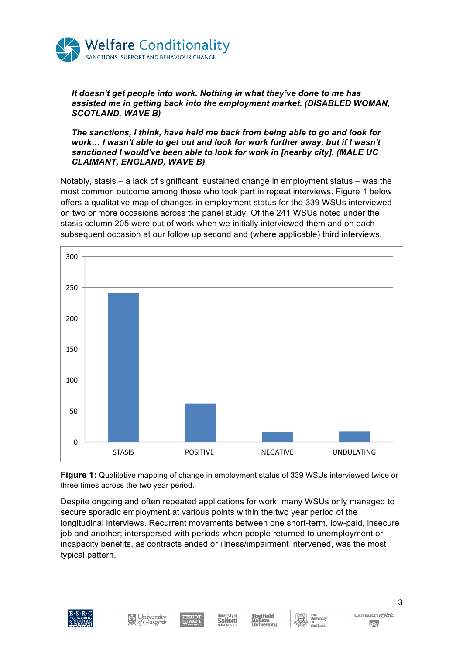

#### *It doesn't get people into work. Nothing in what they've done to me has assisted me in getting back into the employment market. (DISABLED WOMAN, SCOTLAND, WAVE B)*

*The sanctions, I think, have held me back from being able to go and look for work… I wasn't able to get out and look for work further away, but if I wasn't sanctioned I would've been able to look for work in [nearby city]. (MALE UC CLAIMANT, ENGLAND, WAVE B)*

Notably, stasis – a lack of significant, sustained change in employment status – was the most common outcome among those who took part in repeat interviews. Figure 1 below offers a qualitative map of changes in employment status for the 339 WSUs interviewed on two or more occasions across the panel study. Of the 241 WSUs noted under the stasis column 205 were out of work when we initially interviewed them and on each subsequent occasion at our follow up second and (where applicable) third interviews.



**Figure 1:** Qualitative mapping of change in employment status of 339 WSUs interviewed twice or three times across the two year period.

Despite ongoing and often repeated applications for work, many WSUs only managed to secure sporadic employment at various points within the two year period of the longitudinal interviews. Recurrent movements between one short-term, low-paid, insecure job and another; interspersed with periods when people returned to unemployment or incapacity benefits, as contracts ended or illness/impairment intervened, was the most typical pattern.













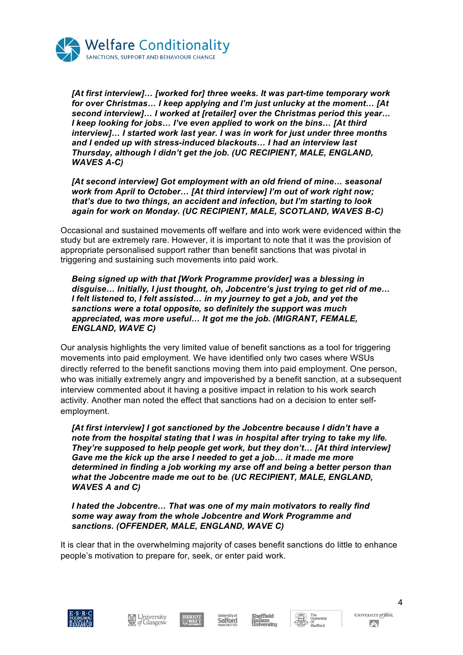

*[At first interview]… [worked for] three weeks. It was part-time temporary work for over Christmas… I keep applying and I'm just unlucky at the moment… [At second interview]… I worked at [retailer] over the Christmas period this year… I keep looking for jobs… I've even applied to work on the bins… [At third interview]… I started work last year. I was in work for just under three months and I ended up with stress-induced blackouts… I had an interview last Thursday, although I didn't get the job. (UC RECIPIENT, MALE, ENGLAND, WAVES A-C)*

*[At second interview] Got employment with an old friend of mine… seasonal work from April to October… [At third interview] I'm out of work right now; that's due to two things, an accident and infection, but I'm starting to look again for work on Monday. (UC RECIPIENT, MALE, SCOTLAND, WAVES B-C)*

Occasional and sustained movements off welfare and into work were evidenced within the study but are extremely rare. However, it is important to note that it was the provision of appropriate personalised support rather than benefit sanctions that was pivotal in triggering and sustaining such movements into paid work.

*Being signed up with that [Work Programme provider] was a blessing in disguise… Initially, I just thought, oh, Jobcentre's just trying to get rid of me… I felt listened to, I felt assisted… in my journey to get a job, and yet the sanctions were a total opposite, so definitely the support was much appreciated, was more useful… It got me the job. (MIGRANT, FEMALE, ENGLAND, WAVE C)*

Our analysis highlights the very limited value of benefit sanctions as a tool for triggering movements into paid employment. We have identified only two cases where WSUs directly referred to the benefit sanctions moving them into paid employment. One person, who was initially extremely angry and impoverished by a benefit sanction, at a subsequent interview commented about it having a positive impact in relation to his work search activity. Another man noted the effect that sanctions had on a decision to enter selfemployment.

*[At first interview] I got sanctioned by the Jobcentre because I didn't have a note from the hospital stating that I was in hospital after trying to take my life. They're supposed to help people get work, but they don't… [At third interview] Gave me the kick up the arse I needed to get a job… it made me more determined in finding a job working my arse off and being a better person than what the Jobcentre made me out to be. (UC RECIPIENT, MALE, ENGLAND, WAVES A and C)*

*I hated the Jobcentre… That was one of my main motivators to really find some way away from the whole Jobcentre and Work Programme and sanctions. (OFFENDER, MALE, ENGLAND, WAVE C)*

It is clear that in the overwhelming majority of cases benefit sanctions do little to enhance people's motivation to prepare for, seek, or enter paid work.













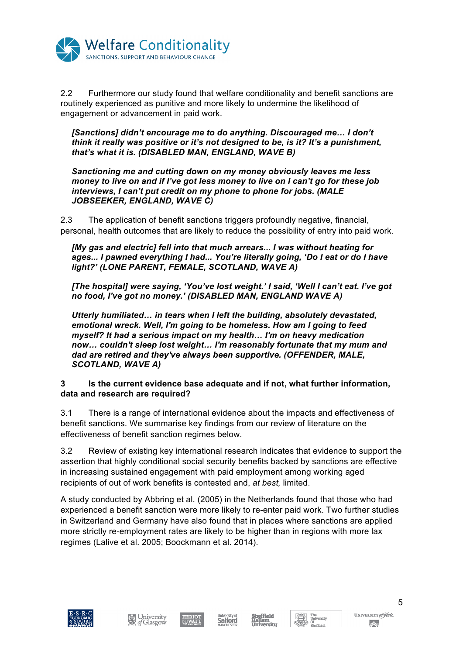

2.2 Furthermore our study found that welfare conditionality and benefit sanctions are routinely experienced as punitive and more likely to undermine the likelihood of engagement or advancement in paid work.

*[Sanctions] didn't encourage me to do anything. Discouraged me… I don't think it really was positive or it's not designed to be, is it? It's a punishment, that's what it is. (DISABLED MAN, ENGLAND, WAVE B)* 

*Sanctioning me and cutting down on my money obviously leaves me less money to live on and if I've got less money to live on I can't go for these job interviews, I can't put credit on my phone to phone for jobs. (MALE JOBSEEKER, ENGLAND, WAVE C)*

2.3 The application of benefit sanctions triggers profoundly negative, financial, personal, health outcomes that are likely to reduce the possibility of entry into paid work.

*[My gas and electric] fell into that much arrears... I was without heating for ages... I pawned everything I had... You're literally going, 'Do I eat or do I have light?' (LONE PARENT, FEMALE, SCOTLAND, WAVE A)*

*[The hospital] were saying, 'You've lost weight.' I said, 'Well I can't eat. I've got no food, I've got no money.' (DISABLED MAN, ENGLAND WAVE A)*

*Utterly humiliated… in tears when I left the building, absolutely devastated, emotional wreck. Well, I'm going to be homeless. How am I going to feed myself? It had a serious impact on my health… I'm on heavy medication now… couldn't sleep lost weight… I'm reasonably fortunate that my mum and dad are retired and they've always been supportive. (OFFENDER, MALE, SCOTLAND, WAVE A)*

# **3 Is the current evidence base adequate and if not, what further information, data and research are required?**

3.1 There is a range of international evidence about the impacts and effectiveness of benefit sanctions. We summarise key findings from our review of literature on the effectiveness of benefit sanction regimes below.

3.2 Review of existing key international research indicates that evidence to support the assertion that highly conditional social security benefits backed by sanctions are effective in increasing sustained engagement with paid employment among working aged recipients of out of work benefits is contested and, *at best,* limited.

A study conducted by Abbring et al. (2005) in the Netherlands found that those who had experienced a benefit sanction were more likely to re-enter paid work. Two further studies in Switzerland and Germany have also found that in places where sanctions are applied more strictly re-employment rates are likely to be higher than in regions with more lax regimes (Lalive et al. 2005; Boockmann et al. 2014).









ffield

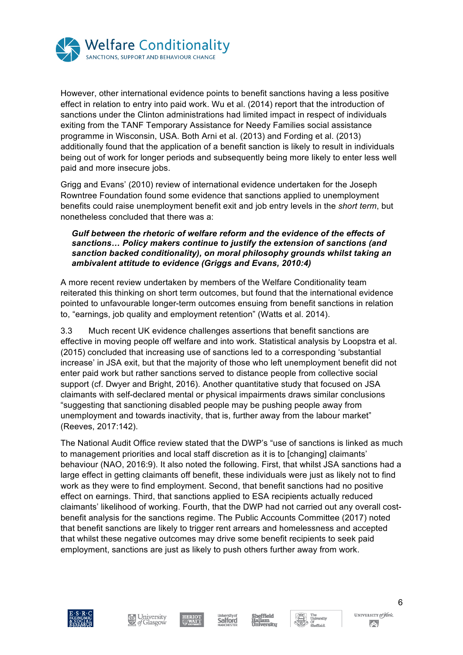

However, other international evidence points to benefit sanctions having a less positive effect in relation to entry into paid work. Wu et al. (2014) report that the introduction of sanctions under the Clinton administrations had limited impact in respect of individuals exiting from the TANF Temporary Assistance for Needy Families social assistance programme in Wisconsin, USA. Both Arni et al. (2013) and Fording et al. (2013) additionally found that the application of a benefit sanction is likely to result in individuals being out of work for longer periods and subsequently being more likely to enter less well paid and more insecure jobs.

Grigg and Evans' (2010) review of international evidence undertaken for the Joseph Rowntree Foundation found some evidence that sanctions applied to unemployment benefits could raise unemployment benefit exit and job entry levels in the *short term*, but nonetheless concluded that there was a:

### Gulf between the rhetoric of welfare reform and the evidence of the effects of *sanctions… Policy makers continue to justify the extension of sanctions (and sanction backed conditionality), on moral philosophy grounds whilst taking an ambivalent attitude to evidence (Griggs and Evans, 2010:4)*

A more recent review undertaken by members of the Welfare Conditionality team reiterated this thinking on short term outcomes, but found that the international evidence pointed to unfavourable longer-term outcomes ensuing from benefit sanctions in relation to, "earnings, job quality and employment retention" (Watts et al. 2014).

3.3 Much recent UK evidence challenges assertions that benefit sanctions are effective in moving people off welfare and into work. Statistical analysis by Loopstra et al. (2015) concluded that increasing use of sanctions led to a corresponding 'substantial increase' in JSA exit, but that the majority of those who left unemployment benefit did not enter paid work but rather sanctions served to distance people from collective social support (cf. Dwyer and Bright, 2016). Another quantitative study that focused on JSA claimants with self-declared mental or physical impairments draws similar conclusions "suggesting that sanctioning disabled people may be pushing people away from unemployment and towards inactivity, that is, further away from the labour market" (Reeves, 2017:142).

The National Audit Office review stated that the DWP's "use of sanctions is linked as much to management priorities and local staff discretion as it is to [changing] claimants' behaviour (NAO, 2016:9). It also noted the following. First, that whilst JSA sanctions had a large effect in getting claimants off benefit, these individuals were just as likely not to find work as they were to find employment. Second, that benefit sanctions had no positive effect on earnings. Third, that sanctions applied to ESA recipients actually reduced claimants' likelihood of working. Fourth, that the DWP had not carried out any overall costbenefit analysis for the sanctions regime. The Public Accounts Committee (2017) noted that benefit sanctions are likely to trigger rent arrears and homelessness and accepted that whilst these negative outcomes may drive some benefit recipients to seek paid employment, sanctions are just as likely to push others further away from work.











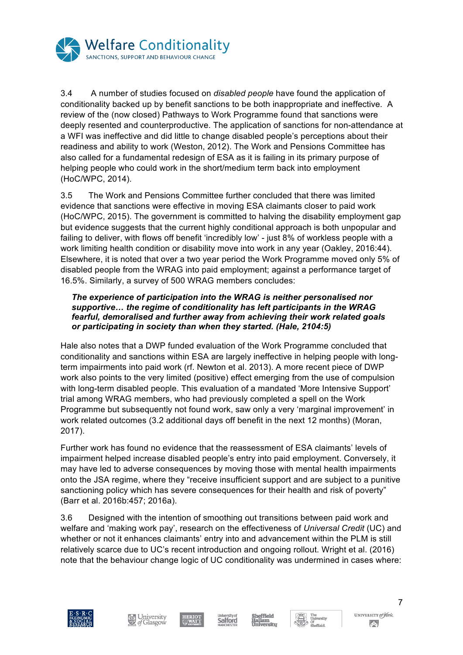

3.4 A number of studies focused on *disabled people* have found the application of conditionality backed up by benefit sanctions to be both inappropriate and ineffective. A review of the (now closed) Pathways to Work Programme found that sanctions were deeply resented and counterproductive. The application of sanctions for non-attendance at a WFI was ineffective and did little to change disabled people's perceptions about their readiness and ability to work (Weston, 2012). The Work and Pensions Committee has also called for a fundamental redesign of ESA as it is failing in its primary purpose of helping people who could work in the short/medium term back into employment (HoC/WPC, 2014).

3.5 The Work and Pensions Committee further concluded that there was limited evidence that sanctions were effective in moving ESA claimants closer to paid work (HoC/WPC, 2015). The government is committed to halving the disability employment gap but evidence suggests that the current highly conditional approach is both unpopular and failing to deliver, with flows off benefit 'incredibly low' - just 8% of workless people with a work limiting health condition or disability move into work in any year (Oakley, 2016:44). Elsewhere, it is noted that over a two year period the Work Programme moved only 5% of disabled people from the WRAG into paid employment; against a performance target of 16.5%. Similarly, a survey of 500 WRAG members concludes:

### *The experience of participation into the WRAG is neither personalised nor supportive… the regime of conditionality has left participants in the WRAG fearful, demoralised and further away from achieving their work related goals or participating in society than when they started. (Hale, 2104:5)*

Hale also notes that a DWP funded evaluation of the Work Programme concluded that conditionality and sanctions within ESA are largely ineffective in helping people with longterm impairments into paid work (rf. Newton et al. 2013). A more recent piece of DWP work also points to the very limited (positive) effect emerging from the use of compulsion with long-term disabled people. This evaluation of a mandated 'More Intensive Support' trial among WRAG members, who had previously completed a spell on the Work Programme but subsequently not found work, saw only a very 'marginal improvement' in work related outcomes (3.2 additional days off benefit in the next 12 months) (Moran, 2017).

Further work has found no evidence that the reassessment of ESA claimants' levels of impairment helped increase disabled people's entry into paid employment. Conversely, it may have led to adverse consequences by moving those with mental health impairments onto the JSA regime, where they "receive insufficient support and are subject to a punitive sanctioning policy which has severe consequences for their health and risk of poverty" (Barr et al. 2016b:457; 2016a).

3.6 Designed with the intention of smoothing out transitions between paid work and welfare and 'making work pay', research on the effectiveness of *Universal Credit* (UC) and whether or not it enhances claimants' entry into and advancement within the PLM is still relatively scarce due to UC's recent introduction and ongoing rollout. Wright et al. (2016) note that the behaviour change logic of UC conditionality was undermined in cases where:













UNIVERSITY of York  $\left( \left. \rule{0cm}{1.4cm}\right. \right. \left. \left. \rule{0cm}{1.4cm}\right. \right.$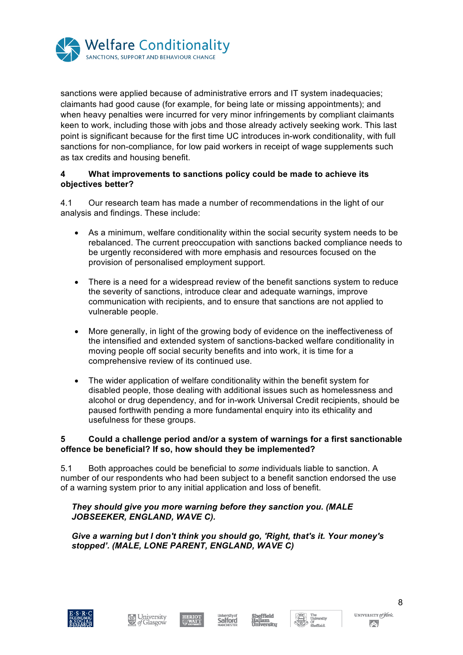

sanctions were applied because of administrative errors and IT system inadequacies; claimants had good cause (for example, for being late or missing appointments); and when heavy penalties were incurred for very minor infringements by compliant claimants keen to work, including those with jobs and those already actively seeking work. This last point is significant because for the first time UC introduces in-work conditionality, with full sanctions for non-compliance, for low paid workers in receipt of wage supplements such as tax credits and housing benefit.

### **4 What improvements to sanctions policy could be made to achieve its objectives better?**

4.1 Our research team has made a number of recommendations in the light of our analysis and findings. These include:

- As a minimum, welfare conditionality within the social security system needs to be rebalanced. The current preoccupation with sanctions backed compliance needs to be urgently reconsidered with more emphasis and resources focused on the provision of personalised employment support.
- There is a need for a widespread review of the benefit sanctions system to reduce the severity of sanctions, introduce clear and adequate warnings, improve communication with recipients, and to ensure that sanctions are not applied to vulnerable people.
- More generally, in light of the growing body of evidence on the ineffectiveness of the intensified and extended system of sanctions-backed welfare conditionality in moving people off social security benefits and into work, it is time for a comprehensive review of its continued use.
- The wider application of welfare conditionality within the benefit system for disabled people, those dealing with additional issues such as homelessness and alcohol or drug dependency, and for in-work Universal Credit recipients, should be paused forthwith pending a more fundamental enquiry into its ethicality and usefulness for these groups.

### **5 Could a challenge period and/or a system of warnings for a first sanctionable offence be beneficial? If so, how should they be implemented?**

5.1 Both approaches could be beneficial to *some* individuals liable to sanction. A number of our respondents who had been subject to a benefit sanction endorsed the use of a warning system prior to any initial application and loss of benefit.

# *They should give you more warning before they sanction you. (MALE JOBSEEKER, ENGLAND, WAVE C).*

# *Give a warning but I don't think you should go, 'Right, that's it. Your money's stopped'. (MALE, LONE PARENT, ENGLAND, WAVE C)*











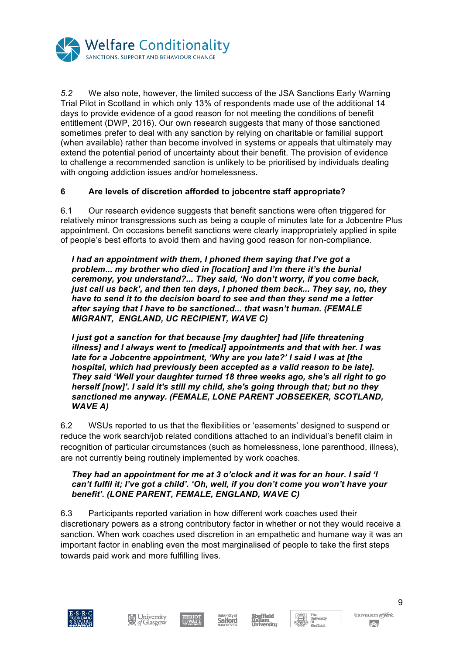

*5.2* We also note, however, the limited success of the JSA Sanctions Early Warning Trial Pilot in Scotland in which only 13% of respondents made use of the additional 14 days to provide evidence of a good reason for not meeting the conditions of benefit entitlement (DWP, 2016). Our own research suggests that many of those sanctioned sometimes prefer to deal with any sanction by relying on charitable or familial support (when available) rather than become involved in systems or appeals that ultimately may extend the potential period of uncertainty about their benefit. The provision of evidence to challenge a recommended sanction is unlikely to be prioritised by individuals dealing with ongoing addiction issues and/or homelessness.

# **6 Are levels of discretion afforded to jobcentre staff appropriate?**

6.1 Our research evidence suggests that benefit sanctions were often triggered for relatively minor transgressions such as being a couple of minutes late for a Jobcentre Plus appointment. On occasions benefit sanctions were clearly inappropriately applied in spite of people's best efforts to avoid them and having good reason for non-compliance.

*I had an appointment with them, I phoned them saying that I've got a problem... my brother who died in [location] and I'm there it's the burial ceremony, you understand?... They said, 'No don't worry, if you come back, just call us back', and then ten days, I phoned them back... They say, no, they have to send it to the decision board to see and then they send me a letter after saying that I have to be sanctioned... that wasn't human. (FEMALE MIGRANT, ENGLAND, UC RECIPIENT, WAVE C)* 

*I just got a sanction for that because [my daughter] had [life threatening illness] and I always went to [medical] appointments and that with her. I was late for a Jobcentre appointment, 'Why are you late?' I said I was at [the hospital, which had previously been accepted as a valid reason to be late]. They said 'Well your daughter turned 18 three weeks ago, she's all right to go herself [now]'. I said it's still my child, she's going through that; but no they sanctioned me anyway. (FEMALE, LONE PARENT JOBSEEKER, SCOTLAND, WAVE A)*

6.2 WSUs reported to us that the flexibilities or 'easements' designed to suspend or reduce the work search/job related conditions attached to an individual's benefit claim in recognition of particular circumstances (such as homelessness, lone parenthood, illness), are not currently being routinely implemented by work coaches.

#### *They had an appointment for me at 3 o'clock and it was for an hour. I said 'I can't fulfil it; I've got a child'. 'Oh, well, if you don't come you won't have your benefit'. (LONE PARENT, FEMALE, ENGLAND, WAVE C)*

6.3 Participants reported variation in how different work coaches used their discretionary powers as a strong contributory factor in whether or not they would receive a sanction. When work coaches used discretion in an empathetic and humane way it was an important factor in enabling even the most marginalised of people to take the first steps towards paid work and more fulfilling lives.









ffield





UNIVERSITY of York  $\left( \left. \rule{0cm}{1.4cm}\right. \right. \left. \left. \rule{0cm}{1.4cm}\right. \right.$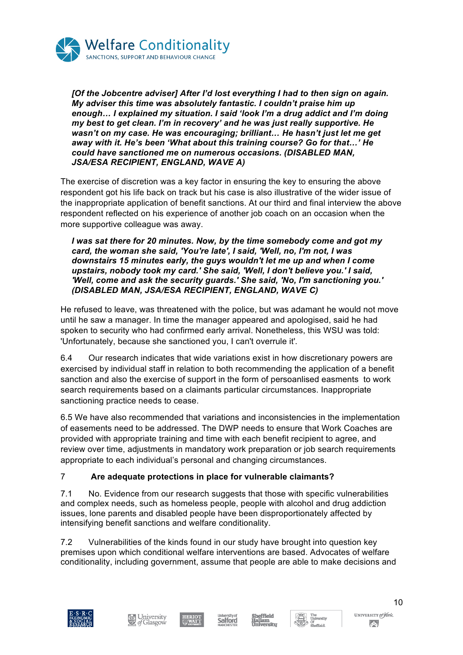

*[Of the Jobcentre adviser] After I'd lost everything I had to then sign on again. My adviser this time was absolutely fantastic. I couldn't praise him up enough… I explained my situation. I said 'look I'm a drug addict and I'm doing my best to get clean. I'm in recovery' and he was just really supportive. He wasn't on my case. He was encouraging; brilliant… He hasn't just let me get away with it. He's been 'What about this training course? Go for that…' He could have sanctioned me on numerous occasions. (DISABLED MAN, JSA/ESA RECIPIENT, ENGLAND, WAVE A)*

The exercise of discretion was a key factor in ensuring the key to ensuring the above respondent got his life back on track but his case is also illustrative of the wider issue of the inappropriate application of benefit sanctions. At our third and final interview the above respondent reflected on his experience of another job coach on an occasion when the more supportive colleague was away.

*I was sat there for 20 minutes. Now, by the time somebody come and got my card, the woman she said, 'You're late', I said, 'Well, no, I'm not, I was downstairs 15 minutes early, the guys wouldn't let me up and when I come upstairs, nobody took my card.' She said, 'Well, I don't believe you.' I said, 'Well, come and ask the security guards.' She said, 'No, I'm sanctioning you.' (DISABLED MAN, JSA/ESA RECIPIENT, ENGLAND, WAVE C)*

He refused to leave, was threatened with the police, but was adamant he would not move until he saw a manager. In time the manager appeared and apologised, said he had spoken to security who had confirmed early arrival. Nonetheless, this WSU was told: 'Unfortunately, because she sanctioned you, I can't overrule it'.

6.4 Our research indicates that wide variations exist in how discretionary powers are exercised by individual staff in relation to both recommending the application of a benefit sanction and also the exercise of support in the form of persoanlised easments to work search requirements based on a claimants particular circumstances. Inappropriate sanctioning practice needs to cease.

6.5 We have also recommended that variations and inconsistencies in the implementation of easements need to be addressed. The DWP needs to ensure that Work Coaches are provided with appropriate training and time with each benefit recipient to agree, and review over time, adjustments in mandatory work preparation or job search requirements appropriate to each individual's personal and changing circumstances.

# 7 **Are adequate protections in place for vulnerable claimants?**

7.1 No. Evidence from our research suggests that those with specific vulnerabilities and complex needs, such as homeless people, people with alcohol and drug addiction issues, lone parents and disabled people have been disproportionately affected by intensifying benefit sanctions and welfare conditionality.

7.2 Vulnerabilities of the kinds found in our study have brought into question key premises upon which conditional welfare interventions are based. Advocates of welfare conditionality, including government, assume that people are able to make decisions and











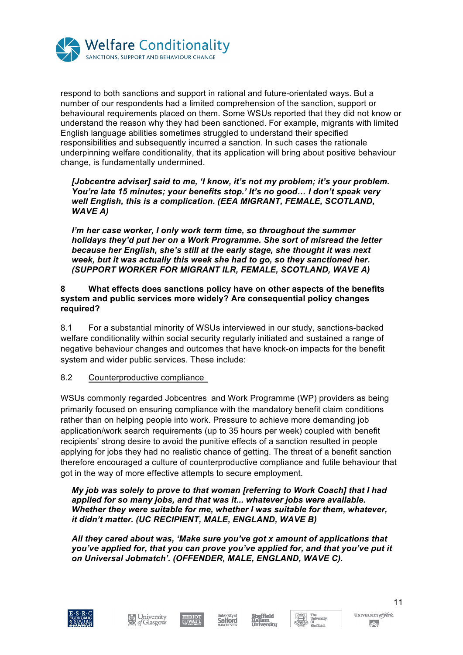

respond to both sanctions and support in rational and future-orientated ways. But a number of our respondents had a limited comprehension of the sanction, support or behavioural requirements placed on them. Some WSUs reported that they did not know or understand the reason why they had been sanctioned. For example, migrants with limited English language abilities sometimes struggled to understand their specified responsibilities and subsequently incurred a sanction. In such cases the rationale underpinning welfare conditionality, that its application will bring about positive behaviour change, is fundamentally undermined.

*[Jobcentre adviser] said to me, 'I know, it's not my problem; it's your problem. You're late 15 minutes; your benefits stop.' It's no good… I don't speak very well English, this is a complication. (EEA MIGRANT, FEMALE, SCOTLAND, WAVE A)*

*I'm her case worker, I only work term time, so throughout the summer holidays they'd put her on a Work Programme. She sort of misread the letter because her English, she's still at the early stage, she thought it was next week, but it was actually this week she had to go, so they sanctioned her. (SUPPORT WORKER FOR MIGRANT ILR, FEMALE, SCOTLAND, WAVE A)*

### **8 What effects does sanctions policy have on other aspects of the benefits system and public services more widely? Are consequential policy changes required?**

8.1 For a substantial minority of WSUs interviewed in our study, sanctions-backed welfare conditionality within social security regularly initiated and sustained a range of negative behaviour changes and outcomes that have knock-on impacts for the benefit system and wider public services. These include:

### 8.2 Counterproductive compliance

WSUs commonly regarded Jobcentres and Work Programme (WP) providers as being primarily focused on ensuring compliance with the mandatory benefit claim conditions rather than on helping people into work. Pressure to achieve more demanding job application/work search requirements (up to 35 hours per week) coupled with benefit recipients' strong desire to avoid the punitive effects of a sanction resulted in people applying for jobs they had no realistic chance of getting. The threat of a benefit sanction therefore encouraged a culture of counterproductive compliance and futile behaviour that got in the way of more effective attempts to secure employment.

#### *My job was solely to prove to that woman [referring to Work Coach] that I had applied for so many jobs, and that was it... whatever jobs were available. Whether they were suitable for me, whether I was suitable for them, whatever, it didn't matter. (UC RECIPIENT, MALE, ENGLAND, WAVE B)*

*All they cared about was, 'Make sure you've got x amount of applications that you've applied for, that you can prove you've applied for, and that you've put it on Universal Jobmatch'. (OFFENDER, MALE, ENGLAND, WAVE C).* 











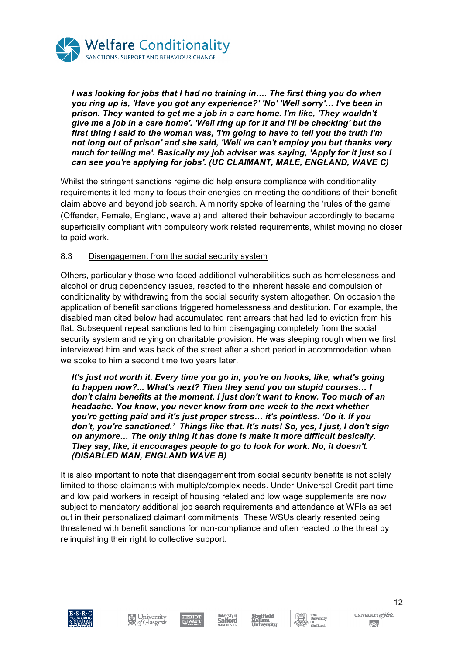

*I was looking for jobs that I had no training in…. The first thing you do when you ring up is, 'Have you got any experience?' 'No' 'Well sorry'… I've been in prison. They wanted to get me a job in a care home. I'm like, 'They wouldn't give me a job in a care home'. 'Well ring up for it and I'll be checking' but the first thing I said to the woman was, 'I'm going to have to tell you the truth I'm not long out of prison' and she said, 'Well we can't employ you but thanks very much for telling me'. Basically my job adviser was saying, 'Apply for it just so I can see you're applying for jobs'. (UC CLAIMANT, MALE, ENGLAND, WAVE C)*

Whilst the stringent sanctions regime did help ensure compliance with conditionality requirements it led many to focus their energies on meeting the conditions of their benefit claim above and beyond job search. A minority spoke of learning the 'rules of the game' (Offender, Female, England, wave a) and altered their behaviour accordingly to became superficially compliant with compulsory work related requirements, whilst moving no closer to paid work.

# 8.3 Disengagement from the social security system

Others, particularly those who faced additional vulnerabilities such as homelessness and alcohol or drug dependency issues, reacted to the inherent hassle and compulsion of conditionality by withdrawing from the social security system altogether. On occasion the application of benefit sanctions triggered homelessness and destitution. For example, the disabled man cited below had accumulated rent arrears that had led to eviction from his flat. Subsequent repeat sanctions led to him disengaging completely from the social security system and relying on charitable provision. He was sleeping rough when we first interviewed him and was back of the street after a short period in accommodation when we spoke to him a second time two years later.

*It's just not worth it. Every time you go in, you're on hooks, like, what's going to happen now?... What's next? Then they send you on stupid courses… I don't claim benefits at the moment. I just don't want to know. Too much of an headache. You know, you never know from one week to the next whether you're getting paid and it's just proper stress… it's pointless. 'Do it. If you don't, you're sanctioned.' Things like that. It's nuts! So, yes, I just, I don't sign on anymore… The only thing it has done is make it more difficult basically. They say, like, it encourages people to go to look for work. No, it doesn't. (DISABLED MAN, ENGLAND WAVE B)*

It is also important to note that disengagement from social security benefits is not solely limited to those claimants with multiple/complex needs. Under Universal Credit part-time and low paid workers in receipt of housing related and low wage supplements are now subject to mandatory additional job search requirements and attendance at WFIs as set out in their personalized claimant commitments. These WSUs clearly resented being threatened with benefit sanctions for non-compliance and often reacted to the threat by relinquishing their right to collective support.













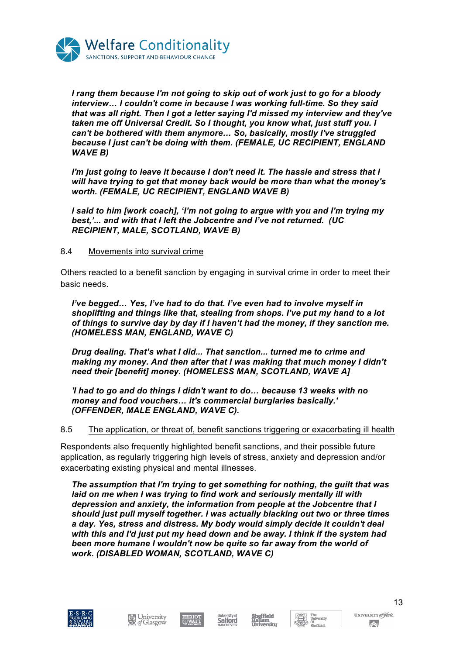

*I rang them because I'm not going to skip out of work just to go for a bloody interview… I couldn't come in because I was working full-time. So they said that was all right. Then I got a letter saying I'd missed my interview and they've taken me off Universal Credit. So I thought, you know what, just stuff you. I can't be bothered with them anymore… So, basically, mostly I've struggled because I just can't be doing with them. (FEMALE, UC RECIPIENT, ENGLAND WAVE B)* 

*I'm just going to leave it because I don't need it. The hassle and stress that I will have trying to get that money back would be more than what the money's worth. (FEMALE, UC RECIPIENT, ENGLAND WAVE B)*

*I said to him [work coach], 'I'm not going to argue with you and I'm trying my best,'... and with that I left the Jobcentre and I've not returned. (UC RECIPIENT, MALE, SCOTLAND, WAVE B)*

### 8.4 Movements into survival crime

Others reacted to a benefit sanction by engaging in survival crime in order to meet their basic needs.

*I've begged… Yes, I've had to do that. I've even had to involve myself in shoplifting and things like that, stealing from shops. I've put my hand to a lot of things to survive day by day if I haven't had the money, if they sanction me. (HOMELESS MAN, ENGLAND, WAVE C)*

*Drug dealing. That's what I did... That sanction... turned me to crime and making my money. And then after that I was making that much money I didn't need their [benefit] money. (HOMELESS MAN, SCOTLAND, WAVE A]* 

*'I had to go and do things I didn't want to do… because 13 weeks with no money and food vouchers… it's commercial burglaries basically.' (OFFENDER, MALE ENGLAND, WAVE C).* 

8.5 The application, or threat of, benefit sanctions triggering or exacerbating ill health

Respondents also frequently highlighted benefit sanctions, and their possible future application, as regularly triggering high levels of stress, anxiety and depression and/or exacerbating existing physical and mental illnesses.

*The assumption that I'm trying to get something for nothing, the guilt that was laid on me when I was trying to find work and seriously mentally ill with depression and anxiety, the information from people at the Jobcentre that I should just pull myself together. I was actually blacking out two or three times a day. Yes, stress and distress. My body would simply decide it couldn't deal with this and I'd just put my head down and be away. I think if the system had been more humane I wouldn't now be quite so far away from the world of work. (DISABLED WOMAN, SCOTLAND, WAVE C)*











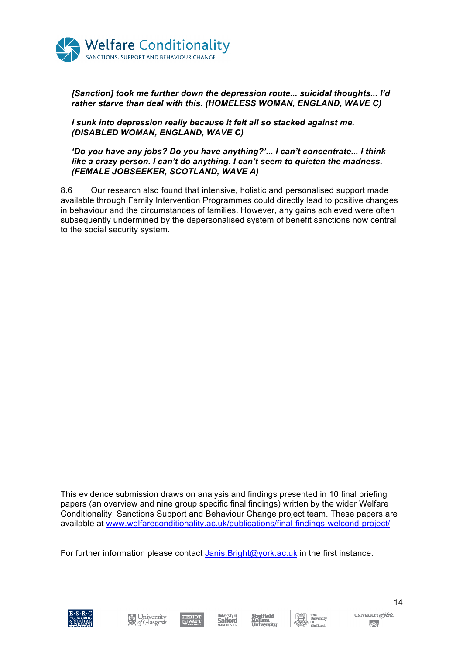

*[Sanction] took me further down the depression route... suicidal thoughts... I'd rather starve than deal with this. (HOMELESS WOMAN, ENGLAND, WAVE C)* 

*I sunk into depression really because it felt all so stacked against me. (DISABLED WOMAN, ENGLAND, WAVE C)* 

#### *'Do you have any jobs? Do you have anything?'... I can't concentrate... I think like a crazy person. I can't do anything. I can't seem to quieten the madness. (FEMALE JOBSEEKER, SCOTLAND, WAVE A)*

8.6 Our research also found that intensive, holistic and personalised support made available through Family Intervention Programmes could directly lead to positive changes in behaviour and the circumstances of families. However, any gains achieved were often subsequently undermined by the depersonalised system of benefit sanctions now central to the social security system.

This evidence submission draws on analysis and findings presented in 10 final briefing papers (an overview and nine group specific final findings) written by the wider Welfare Conditionality: Sanctions Support and Behaviour Change project team. These papers are available at www.welfareconditionality.ac.uk/publications/final-findings-welcond-project/

For further information please contact Janis.Bright@york.ac.uk in the first instance.













UNIVERSITY of York  $\left( \left. \rule{0cm}{1.4cm}\right. \right. \left. \left. \rule{0cm}{1.4cm}\right. \right.$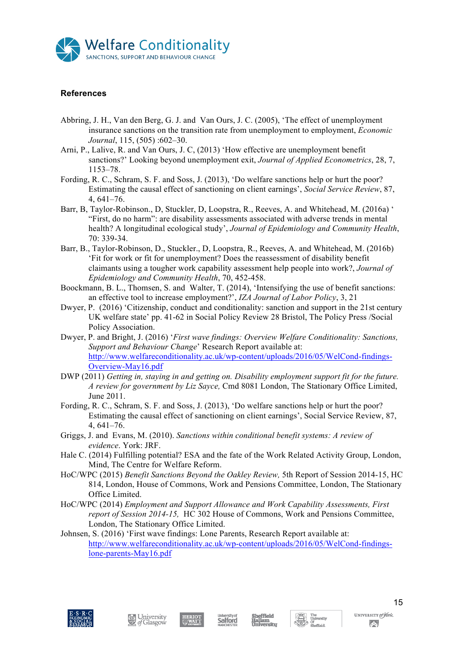

### **References**

- Abbring, J. H., Van den Berg, G. J. and Van Ours, J. C. (2005), 'The effect of unemployment insurance sanctions on the transition rate from unemployment to employment, *Economic Journal*, 115, (505) :602–30.
- Arni, P., Lalive, R. and Van Ours, J. C, (2013) 'How effective are unemployment benefit sanctions?' Looking beyond unemployment exit, *Journal of Applied Econometrics*, 28, 7, 1153–78.
- Fording, R. C., Schram, S. F. and Soss, J. (2013), 'Do welfare sanctions help or hurt the poor? Estimating the causal effect of sanctioning on client earnings', *Social Service Review*, 87, 4, 641–76.
- Barr, B, Taylor-Robinson., D, Stuckler, D, Loopstra, R., Reeves, A. and Whitehead, M. (2016a) ' "First, do no harm": are disability assessments associated with adverse trends in mental health? A longitudinal ecological study', *Journal of Epidemiology and Community Health*, 70: 339-34.
- Barr, B., Taylor-Robinson, D., Stuckler., D, Loopstra, R., Reeves, A. and Whitehead, M. (2016b) 'Fit for work or fit for unemployment? Does the reassessment of disability benefit claimants using a tougher work capability assessment help people into work?, *Journal of Epidemiology and Community Health*, 70, 452-458.
- Boockmann, B. L., Thomsen, S. and Walter, T. (2014), 'Intensifying the use of benefit sanctions: an effective tool to increase employment?', *IZA Journal of Labor Policy*, 3, 21
- Dwyer, P. (2016) 'Citizenship, conduct and conditionality: sanction and support in the 21st century UK welfare state' pp. 41-62 in Social Policy Review 28 Bristol, The Policy Press /Social Policy Association.
- Dwyer, P. and Bright, J. (2016) '*First wave findings: Overview Welfare Conditionality: Sanctions, Support and Behaviour Change*' Research Report available at: http://www.welfareconditionality.ac.uk/wp-content/uploads/2016/05/WelCond-findings-Overview-May16.pdf
- DWP (2011) *Getting in, staying in and getting on. Disability employment support fit for the future. A review for government by Liz Sayce,* Cmd 8081 London, The Stationary Office Limited, June 2011.
- Fording, R. C., Schram, S. F. and Soss, J. (2013), 'Do welfare sanctions help or hurt the poor? Estimating the causal effect of sanctioning on client earnings', Social Service Review, 87, 4, 641–76.
- Griggs, J. and Evans, M. (2010). *Sanctions within conditional benefit systems: A review of evidence*. York: JRF.
- Hale C. (2014) Fulfilling potential? ESA and the fate of the Work Related Activity Group, London, Mind, The Centre for Welfare Reform.
- HoC/WPC (2015) *Benefit Sanctions Beyond the Oakley Review,* 5th Report of Session 2014-15, HC 814, London, House of Commons, Work and Pensions Committee, London, The Stationary Office Limited.
- HoC/WPC (2014) *Employment and Support Allowance and Work Capability Assessments, First report of Session 2014-15,* HC 302 House of Commons, Work and Pensions Committee, London, The Stationary Office Limited.
- Johnsen, S. (2016) 'First wave findings: Lone Parents, Research Report available at: http://www.welfareconditionality.ac.uk/wp-content/uploads/2016/05/WelCond-findingslone-parents-May16.pdf